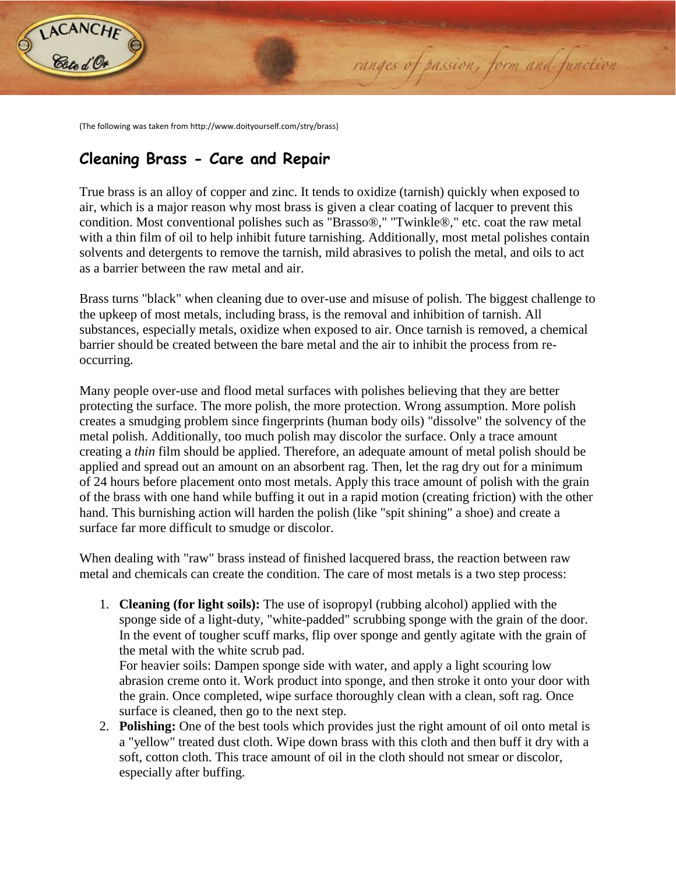

(The following was taken from http://www.doityourself.com/stry/brass)

## **Cleaning Brass - Care and Repair**

True brass is an alloy of copper and zinc. It tends to oxidize (tarnish) quickly when exposed to air, which is a major reason why most brass is given a clear coating of lacquer to prevent this condition. Most conventional polishes such as "Brasso®," "Twinkle®," etc. coat the raw metal with a thin film of oil to help inhibit future tarnishing. Additionally, most metal polishes contain solvents and detergents to remove the tarnish, mild abrasives to polish the metal, and oils to act as a barrier between the raw metal and air.

ranges of passion, form and function

Brass turns "black" when cleaning due to over-use and misuse of polish. The biggest challenge to the upkeep of most metals, including brass, is the removal and inhibition of tarnish. All substances, especially metals, oxidize when exposed to air. Once tarnish is removed, a chemical barrier should be created between the bare metal and the air to inhibit the process from reoccurring.

Many people over-use and flood metal surfaces with polishes believing that they are better protecting the surface. The more polish, the more protection. Wrong assumption. More polish creates a smudging problem since fingerprints (human body oils) "dissolve" the solvency of the metal polish. Additionally, too much polish may discolor the surface. Only a trace amount creating a *thin* film should be applied. Therefore, an adequate amount of metal polish should be applied and spread out an amount on an absorbent rag. Then, let the rag dry out for a minimum of 24 hours before placement onto most metals. Apply this trace amount of polish with the grain of the brass with one hand while buffing it out in a rapid motion (creating friction) with the other hand. This burnishing action will harden the polish (like "spit shining" a shoe) and create a surface far more difficult to smudge or discolor.

When dealing with "raw" brass instead of finished lacquered brass, the reaction between raw metal and chemicals can create the condition. The care of most metals is a two step process:

1. **Cleaning (for light soils):** The use of isopropyl (rubbing alcohol) applied with the sponge side of a light-duty, "white-padded" scrubbing sponge with the grain of the door. In the event of tougher scuff marks, flip over sponge and gently agitate with the grain of the metal with the white scrub pad.

For heavier soils: Dampen sponge side with water, and apply a light scouring low abrasion creme onto it. Work product into sponge, and then stroke it onto your door with the grain. Once completed, wipe surface thoroughly clean with a clean, soft rag. Once surface is cleaned, then go to the next step.

2. **Polishing:** One of the best tools which provides just the right amount of oil onto metal is a "yellow" treated dust cloth. Wipe down brass with this cloth and then buff it dry with a soft, cotton cloth. This trace amount of oil in the cloth should not smear or discolor, especially after buffing.